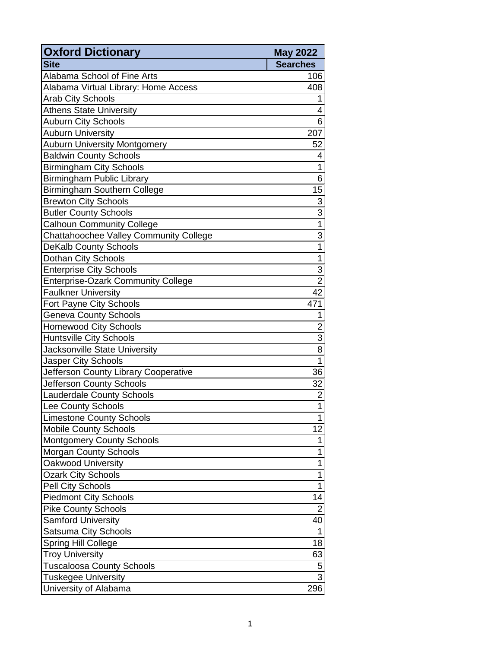| <b>Oxford Dictionary</b>                  | <b>May 2022</b> |
|-------------------------------------------|-----------------|
| <b>Site</b>                               | <b>Searches</b> |
| Alabama School of Fine Arts               | 106             |
| Alabama Virtual Library: Home Access      | 408             |
| <b>Arab City Schools</b>                  | 1               |
| <b>Athens State University</b>            | 4               |
| <b>Auburn City Schools</b>                | 6               |
| <b>Auburn University</b>                  | 207             |
| <b>Auburn University Montgomery</b>       | 52              |
| <b>Baldwin County Schools</b>             | 4               |
| <b>Birmingham City Schools</b>            | 1               |
| <b>Birmingham Public Library</b>          | 6               |
| <b>Birmingham Southern College</b>        | 15              |
| <b>Brewton City Schools</b>               | 3               |
| <b>Butler County Schools</b>              | $\overline{3}$  |
| <b>Calhoun Community College</b>          | $\overline{1}$  |
| Chattahoochee Valley Community College    | 3               |
| <b>DeKalb County Schools</b>              | 1               |
| Dothan City Schools                       | 1               |
| <b>Enterprise City Schools</b>            | 3               |
| <b>Enterprise-Ozark Community College</b> | $\overline{2}$  |
| <b>Faulkner University</b>                | $\overline{42}$ |
| Fort Payne City Schools                   | 471             |
| <b>Geneva County Schools</b>              | 1               |
| <b>Homewood City Schools</b>              | $\overline{2}$  |
| <b>Huntsville City Schools</b>            | 3               |
| Jacksonville State University             | 8               |
| <b>Jasper City Schools</b>                | $\overline{1}$  |
| Jefferson County Library Cooperative      | 36              |
| Jefferson County Schools                  | 32              |
| <b>Lauderdale County Schools</b>          | $\overline{c}$  |
| Lee County Schools                        | 1               |
| <b>Limestone County Schools</b>           | 1               |
| <b>Mobile County Schools</b>              | 12              |
| <b>Montgomery County Schools</b>          | 1               |
| <b>Morgan County Schools</b>              | 1               |
| <b>Oakwood University</b>                 | 1               |
| <b>Ozark City Schools</b>                 | 1               |
| <b>Pell City Schools</b>                  | 1               |
| <b>Piedmont City Schools</b>              | 14              |
| <b>Pike County Schools</b>                | $\overline{2}$  |
| <b>Samford University</b>                 | 40              |
| Satsuma City Schools                      | 1               |
| <b>Spring Hill College</b>                | 18              |
| <b>Troy University</b>                    | 63              |
| <b>Tuscaloosa County Schools</b>          | 5               |
| <b>Tuskegee University</b>                | $\overline{3}$  |
| University of Alabama                     | 296             |